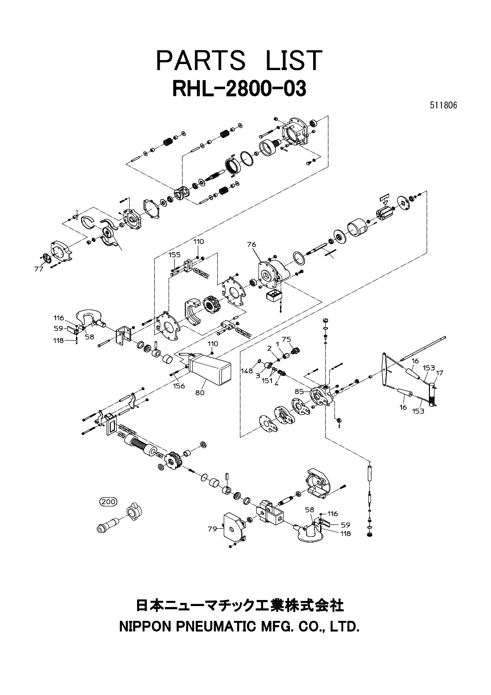

日本ニューマチック工業株式会社 NIPPON PNEUMATIC MFG. CO., LTD.